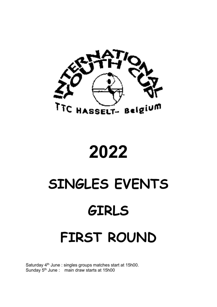

## 2022

# SINGLES EVENTS GIRLS

## FIRST ROUND

Saturday 4<sup>th</sup> June : singles groups matches start at 15h00. Sunday 5th June : main draw starts at 15h00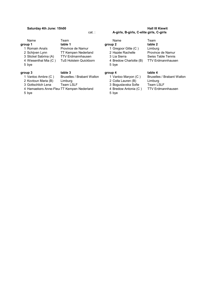| group 3               | table 3                       | group 4                | table 4       |
|-----------------------|-------------------------------|------------------------|---------------|
| 5 bye                 |                               | 5 bye                  |               |
| 4 Wiesenthal Mia (C)  | <b>TuS Holstein Quickborn</b> | 4 Bredow Charlotte (B) | <b>TTV</b> Er |
| 3 Stickel Sabrina (A) | <b>TTV Erdmannhausen</b>      | 3 Lia Sierra           | Swiss T       |
| 2 Schijven Lynn       | <b>TT Kempen Nederland</b>    | 2 Hazée Rachelle       | Provinc       |
| 1 Romain Anaïs        | Province de Namur             | 1 Gregoor Gitte (C)    | Limburg       |
| group 1               | table 1                       | group 2                | table 2       |
| Name                  | Team                          | Name                   | Team          |
|                       |                               |                        |               |

4 Hamaekers Anne-Fleu TT Kempen Nederland 5 bye 5 bye 5 bye 5 bye 5 bye 5 bye 5 bye 5 bye 5 bye 5 bye 5 bye 5 bye 5 bye 5 bye 5 bye 5 bye 5 bye 5 bye 5  $\pm$ 

### Saturday 4th June: 15h00 Hall III Kiewit cat. : A-girls, B-girls, C-elite girls, C-girls

**group 2 table 2**<br>
1 Gregoor Gitte (C ) Limburg<br>
2 Hazée Rachelle Province 2 Schijven Lynn TT Kempen Nederland 2 Hazée Rachelle Province de Namur 3 Stickel Sabrina (A) TTV Erdmannhausen 3 Lia Sierra Swiss Table Tennis oorn 4 Bredow Charlotte (B)

- 2 Kovtoun Maria (B) Limburg <br>
2 Colla Lauren (B) Limburg 3 Gottschlich Lena Team LSLF 3 Boguslavska Sofie Team LSLF
	-
	-

1 Vanloo Ambre (C) Bruxelles / Brabant Wallon 1 Vanloo Maryon (C) Bruxelles / Brabant Wallon 2 Kovtoun Maria (B) 3 Boguslavska Sofie Team LSLF<br>4 Bredow Antonia (C) TTV Erdmannhausen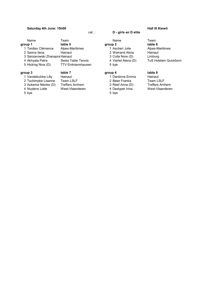### Saturday 4th June: 15h00 Hall III Kiewit

| Name                           | Team                      | Name                | Team                     |
|--------------------------------|---------------------------|---------------------|--------------------------|
| group 1                        | table 5                   | group 2             | table 6                  |
| 1 Tardieu Clémence             | Alpes-Maritimes           | 1 Ascheri Julie     | Alpes-Maritimes          |
| 2 Sanna Ilena                  | Hainaut                   | 2 Warrand Alicia    | Hainaut                  |
| 3 Sanzarowski Zhanapra Hainaut |                           | 3 Colla Nore (D)    | Limburg                  |
| 4 Akhyata Patra                | <b>Swiss Table Tennis</b> | 4 Viertel Alena (D) | <b>TuS Holstein Quid</b> |
| 5 Hicking Nina (D)             | <b>TTV Erdmannhausen</b>  | 5 bye               |                          |
| group 3                        | table 7                   | group 4             | table 8                  |
| 1 Vandebulcke Lilly            | Hainaut                   | 1 Dantinne Emma     | Hainaut                  |
| 2 Tschimpke Lisanne            | <b>Team LSLF</b>          | 2 Beier Franka      | <b>Team LSLF</b>         |
| 3 Aukema Nienke (D)            | <b>Treffers Arnhem</b>    | 3 Reef Anna (D)     | <b>Treffers Arnhem</b>   |
| 4 Nuytens Lotte                | West-Vlaanderen           | 4 Desiyper Irina    | West-Vlaanderen          |
|                                |                           |                     |                          |

4 Nuytens Lotte West-Vlaanderen<br>5 bye

## cat. : D - girls en D elite

- **1 Jandele 2 Vandes 1 Dantinne Emma Hainaut 1 Dantinne Emma Hainaut 2 Beier Franka** 
	-
- 5 bye 5 bye 5 bye 5 bye 5 bye 5 bye 5 bye 5 bye 5 bye 5 bye 5 bye 5 bye 5 bye 5 bye 5 bye 5 bye 5 bye 5 bye 5 bye 5 bye 5 bye 5 bye 5 bye 5 bye 5 bye 5 bye 5 bye 5 bye 5 bye 5 bye 5 bye 5 bye 5 bye 5 bye 5 bye 5 bye 5 bye

TuS Holstein Quickborn